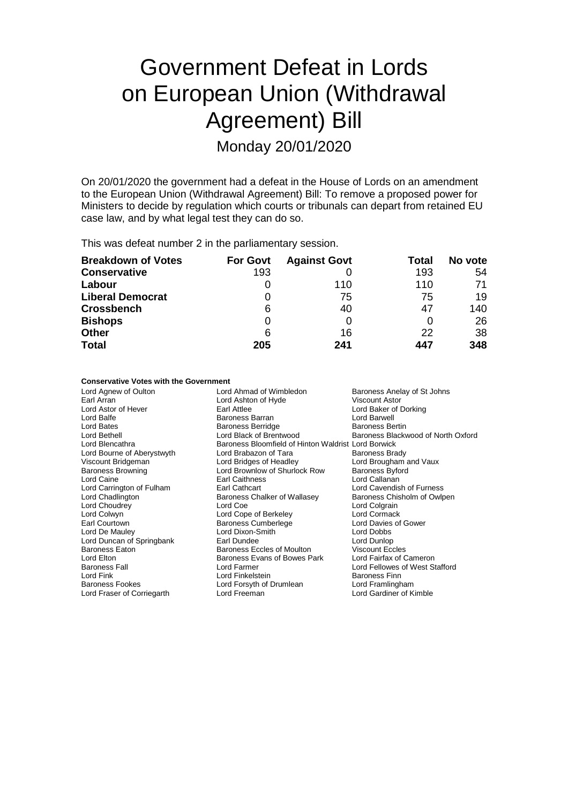# Government Defeat in Lords on European Union (Withdrawal Agreement) Bill

Monday 20/01/2020

On 20/01/2020 the government had a defeat in the House of Lords on an amendment to the European Union (Withdrawal Agreement) Bill: To remove a proposed power for Ministers to decide by regulation which courts or tribunals can depart from retained EU case law, and by what legal test they can do so.

This was defeat number 2 in the parliamentary session.

| <b>Breakdown of Votes</b> | <b>For Govt</b> | <b>Against Govt</b> | Total | No vote |
|---------------------------|-----------------|---------------------|-------|---------|
| <b>Conservative</b>       | 193             |                     | 193   | 54      |
| Labour                    |                 | 110                 | 110   | 71      |
| <b>Liberal Democrat</b>   | 0               | 75                  | 75    | 19      |
| <b>Crossbench</b>         | 6               | 40                  | 47    | 140     |
| <b>Bishops</b>            | 0               |                     |       | 26      |
| <b>Other</b>              | 6               | 16                  | 22    | 38      |
| <b>Total</b>              | 205             | 241                 | 447   | 348     |

#### **Conservative Votes with the Government**

Earl Arran **Arran Communist Control Ashton of Hyde** Lord Ashton of Hyde Lord Ashton of Hyde Lord Bates **Baroness Berridge**<br>
Lord Bethell **Baroness Berridge**<br>
Lord Black of Brentwood Lord Bourne of Aberystwyth Lord Caine **Earl Caithness**<br>
Lord Carrington of Fulham **Earl Cathcart** 

Lord Agnew of Oulton **Lord Ahmad of Wimbledon** Baroness Anelay of St Johns<br>
Earl Arran Baroness Anelay of Lord Ashton of Hyde **Baroness Anelay of St Johns** Lord Astor of Hever Earl Attlee Lord Baker of Dorking Lord Balfe **Baroness Barran Corporation Baroness Barran** Educational Lord Barwell<br>
Baroness Berridge Baroness Berridge Baroness Bertin Lord Bethell Lord Black of Brentwood Baroness Blackwood of North Oxford<br>
Lord Blencathra Corporation Baroness Bloomfield of Hinton Waldrist Lord Borwick Baroness Bloomfield of Hinton Waldrist Lord Borwick<br>Lord Brabazon of Tara Baroness Brady Viscount Bridgeman **Viscount Bridgeman** Lord Bridges of Headley **Lord Brougham and Vaux**<br>
Lord Brownlow of Shurlock Row Baroness Byford Baroness Browning Lord Brownlow of Shurlock Row Baroness Byford Lord Cavendish of Furness Lord Chadlington **Baroness Chalker of Wallasey** Baroness Chisholm of Owlpen<br>
Lord Choudrev **Baroness Chalker of Wallasey** Baroness Chisholm of Owlpen Lord Choudrey **Lord Coe** Lord Coe Lord Colgrain<br>
Lord Colwyn Lord Colgrain<br>
Lord Colwyn Lord Cormack Lord Colwyn **Lord Cope of Berkeley Lord Cormack**<br>
Earl Courtown **Contact Contact Contact Contact Contact Contact Contact Contact Contact Contact Contact Contact**<br>
Baroness Cumberlege **Contact Contact Contact Contact Contac** Baroness Cumberlege Lord De Mauley **Lord Dixon-Smith** Lord Debbs<br>
Lord Duncan of Springbank **Lord Dunce** Earl Dundee **Lord Dunce** Lord Dunlop Lord Duncan of Springbank Earl Dundee Earl Dundee Lord Dunlop<br>Baroness Eaton Baroness Eccles of Moulton Viscount Eccles Baroness Eaton **Baroness Eccles of Moulton** Viscount Eccles<br>
Lord Elton Lord Elton Baroness Evans of Bowes Park Lord Fairfax of Cameron Lord Elton Baroness Evans of Bowes Park Baroness Evans of Bowes Park Care Baroness Evans of Bowes Park Baroness Fall **Example 2** Lord Farmer **Lord Fellowes of West Stafford**<br>
Lord Fink Lord Cord Finkelstein<br>
Lord Finkelstein<br>
Baroness Finn Lord Finkelstein and Baroness Finn<br>
Baroness Fookes<br>
Baroness Fookes **Baroness Fookes**<br>
Lord Framlingham Lord Forsyth of Drumlean Lord Fraser of Corriegarth Lord Freeman Lord Gardiner of Kimble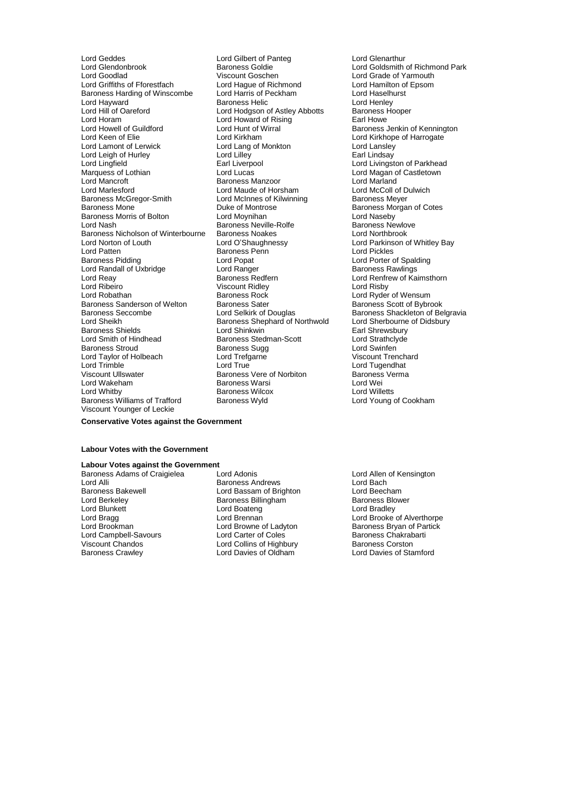Lord Glendonbrook **Baroness Goldie** Cord Coldsmith of Richmond Park<br>
Lord Goodlad Cord Cord Cord Cord Cord Cord Cord Crade of Yarmouth Lord Goodlad **Viscount Goschen** Coschen Lord Grade of Yarmouth<br>
Lord Griffiths of Fforestfach Lord Haque of Richmond Lord Hamilton of Epsom Baroness Harding of Winscombe Lord Harris of Peckham Lord Lord Haselh<br>Lord Harvward Cord Henley Baroness Helic Lord Henley Lord Hayward Baroness Helic Lord Henley Lord Hill of Oareford Lord Hodgson of Astley Abbotts Baroness Hooper Lord Horam Lord Howard of Rising<br>
Lord Howard of Alising<br>
Lord Hunt of Wirral Christ Raroness Lord Howell of Guildford Lord Hunt of Wirral **Lord Hunt of Wirral Baroness Jenkin of Kennington**<br>Lord Keen of Elie Lord Kirkham Lord Kirkham Lord Kirkhope of Harrogate Lord Lamont of Lerwick Lord Lang of Monkton Lord Langer The Lord Lansley<br>Lord Leigh of Hurley Lord Lillev Lord Lilley Lang Lindsay Lord Leigh of Hurley **Lord Lilley**<br>
Lord Lingfield **Lord Lilley**<br>
Earl Liverpool Lord Lingfield **Earl Liverpool** Earl Liverpool **Constructs** Lord Livingston of Parkhead Constructs Construction Constructs Construction Construction Construction Construction Construction Construction Construction Construc Marquess of Lothian **Marquess of Lothian** Lord Lucas Lord Lucas Lord Magan of Castletown<br>
Lord Mancroft **Castletown**<br>
Lord Mancroft **Castletown** Lord Mancroft Baroness Manzoor Lord Marland Baroness McGregor-Smith Lord McInnes of K<br>Baroness Mone<br>Duke of Montrose Baroness Morris of Bolton Lord Moynihan Morris Device and Moynihan Lord Naseby Turn Asseby Cord Naseby Cord Naseby Baroness Nicholson of Winterbourne Baroness Noakes<br>
Lord Norton of Louth Lord O'Shaughnessy Lord Norton of Louth Lord O'Shaughnessy Lord Parkinson of Whitley Bay Lord Patten **Baroness Penn**<br>
Baroness Pidding **Baroness Pickles** Lord Randall of Uxbridge Lord Ranger<br>1991 Lord Reay Baroness Redfern Lord Reay **Baroness Redfern** Lord Renfrew of Kaimsthorn<br>
Lord Ribeiro **Baroness Redfern** Lord Risby<br>
Unit Risby Lord Ribeiro **Viscount Ridley**<br>
Lord Robathan **Matter Communist Communist Baroness Rock** Lord Robathan **Baroness Rock** Lord Ryder of Wensum<br>Baroness Sanderson of Welton Baroness Sater **Baroness Scott of Bybro** Baroness Sanderson of Welton Baroness Sater Baroness Sater Baroness Scott of Bybrook<br>Baroness Seccombe Baroness Shackleton of Be Baroness Seccombe **Lord Selkirk of Douglas** Baroness Shackleton of Belgravia<br>
Lord Sheikh **Baroness Shephard of Northwold** Lord Sherbourne of Didsbury Lord Sheikh Baroness Shephard of Northwold<br>Baroness Shields Barone of Didsbury Lord Shinkwin Lord Smith of Hindhead Baroness Stedman-Scott Lord Strathcly<br>Baroness Stroud Baroness Sugg Baroness Sugg Lord Swinfen Baroness Stroud **Baroness Sugg Exercise Sugg Constructs** Lord Swinfen<br>
Lord Taylor of Holbeach **Baroness Sugg Constructs** Correspond Trenchard Lord Taylor of Holbeach Lord Trefg<br>
Lord Trimble Cord True Lord Trimble Lord Tugendhat<br>
Uiscount Ullswater Transformed Baroness Vere of Norbiton<br>
Lord Tugendhat Baroness Vere of Norbiton Charoness Verma Viscount Ullswater **Baroness Vere of Norbiton** Baroness<br> **Cord Wakeham** Baroness Warsi Baroness Warsi Lord Wei Lord Wakeham Baroness Warsi Lord Wei Baroness Williams of Trafford Viscount Younger of Leckie

Lord Geddes Lord Gilbert of Panteg Lord Glenarthur Lord Hague of Richmond<br>
Lord Harris of Peckham<br>
Lord Haselhurst Lord Kirkham **Lord Kirkhope of Harrogate**<br>
Lord Lang of Monkton **Lord Lansley** Lord Maude of Horsham Lord McColl of D<br>
Lord McInnes of Kilwinning Baroness Meyer Duke of Montrose **Duke of Montrose** Baroness Morgan of Cotes<br>
Lord Moynihan<br>
Lord Naseby Example Baroness Newlove Baroness Newlove Baroness Newlove Baroness Newlove Baroness Newlove Baroness Newlowe<br>
Baroness Noakes Baroness New Baroness New Baroness New Baroness New Baroness New Baroness New Baroness New Ba Lord Popat **Lord Porter of Spalding Lord Ranger Lord Ranger** Baroness Rawlings Lord Shinkwin **Earl Shrewsbury**<br>Baroness Stedman-Scott **Earl Strath**clyde Lord Whitby Baroness Wilcox Lord Willetts

### **Conservative Votes against the Government**

#### **Labour Votes with the Government**

**Labour Votes against the Government** Baroness Adams of Craigielea Lord Adonis<br>
Lord Allen of Kensington<br>
Lord Alli Cord Allen of Kensington<br>
Baroness Andrews
Lord Bach Lord Alli **Communist Communist Communist Communist Communist Communist Communist Communist Communist Communist Communist Communist Communist Communist Communist Communist Communist Communist Communist Communist Communist C** Baroness Bakewell **Rose Correspondent Correspondent Correspondent Correspondent Correspondent Correspondent Corre**<br>Lord Berkeley **Correspondent Correspondent Baroness Blows** Blower Lord Berkeley **Baroness Billingham** Baroness Blower Baroness Blower Baroness Blower Baroness Blower Baroness Blo<br>
Baroness Blower Baroness Blower Baroness Blower Baroness Blower Bradley Lord Blunkett Lord Boateng<br>
Lord Bragg<br>
Lord Brennan Lord Bragg Lord Brennan Lord Brennan Lord Brennan Lord Brooke of Alverthorpe<br>
Lord Brookman Lord Brookman Lord Brooke of Alverthorpe<br>
Lord Brookman Lord Browne of Ladyton Baroness Bryan of Partick

Lord Campbell-Savours Lord Carter of Coles Baroness Chakrab<br>
Viscount Chandos Corston<br>
Lord Collins of Highbury Baroness Corston Viscount Chandos Lord Collins of Highbury<br>
Baroness Crawley **Baroness** Crawley

Lord Browne of Ladyton Baroness Bryan of Partick<br>
Lord Carter of Coles<br>
Baroness Chakrabarti Lord Davies of Stamford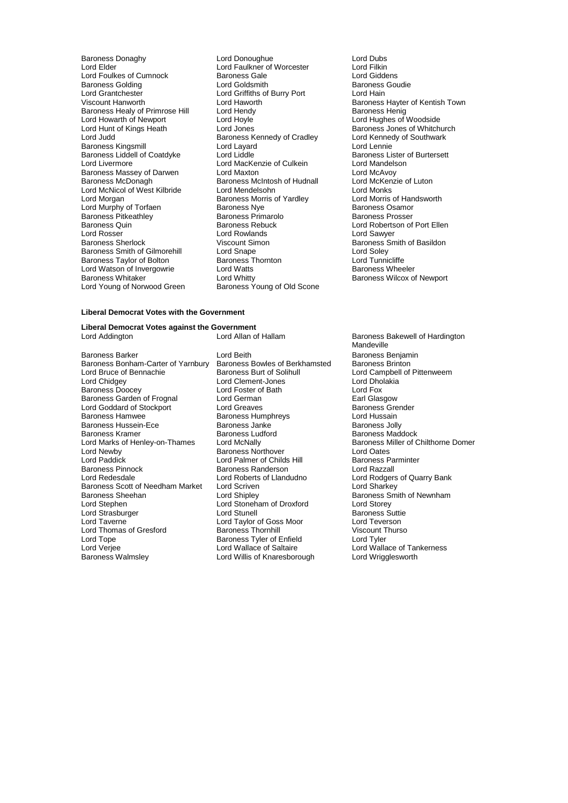Lord Foulkes of Cumnock Baroness Gale Lord Giddens Baroness Golding **Baroness** Lord Goldsmith **Baroness**<br>
Lord Griffiths of Burry Port **Lord Hain**<br>
Lord Griffiths of Burry Port Lord Hain Lord Grantchester **Lord Griffiths of Burry Port**<br>
Viscount Hanworth **Lord Haworth** Lord Haworth Baroness Healy of Primrose Hill Lord Hendy<br>Lord Howarth of Newport Lord Hoyle Lord Howarth of Newport Lord Hoyle Lord Hoyle Lord Hughes of Woodside<br>
Lord Hughes of Woodside<br>
Lord Hoyle Lord Jones Communication Carolines Jones of Whitch Lord Hunt of Kings Heath Lord Jones<br>
Lord Judd Judd Baroness Kennedy of Cradley Lord Kennedy of Southwark Baroness Kingsmill<br>
Baroness Kingsmill Lord Lord Layard<br>
Baroness Liddell of Coatdyke Lord Liddle Lord Baroness Lister of Burtersett Baroness Liddell of Coatdyke Lord Liddle Lord Liddle and Baroness Lister Cord Live and Burtersett Lord Mandelson<br>
Lord MacKenzie of Culkein Lord Mandelson Baroness Massey of Darwen<br>Baroness McDonagh Lord McNicol of West Kilbride Lord Mendelsohn Lord Menus Lord Monks<br>
Lord Morgan Cord Morgan Baroness Morris of Yardley Lord Morris of Handsworth Lord Murphy of Torfaen Baroness Nye Finance Community of Torfaen Baroness Osamor<br>Baroness Pitkeathley Baroness Primarolo Baroness Prosser Baroness Pitkeathley Baroness Primarolo Baroness Primarolo Baroness Rebuck Baroness Quin and Baroness Rebuck Lord Robertson of Port Ellen<br>
Lord Rosser Lord Rowlands<br>
Lord Rosser Lord Rowlands<br>
Lord Rosser Lord Rosser Lord Rowlands Lord Sawyer Baroness Smith of Gilmorehill Lord Snape<br>
Baroness Taylor of Bolton Baroness Thornton Lord Tunnicliffe Baroness Taylor of Bolton **Baroness Thornton** Baroness Thornton **Lord Tunnicliffe**<br>
Lord Watson of Invergowrie **Lord Watts** Lord Tunnicliffe Baroness Wheeler Lord Watson of Invergowrie Lord Watts<br>
Baroness Whitaker<br>
Lord Whitty Lord Young of Norwood Green

Baroness Donaghy Lord Donoughue Lord Dubs Lord Faulkner of Worcester Lord Filkin<br>Baroness Gale Lord Giddens **Lord Kennedy of Cradley Lord Kennedy of Cradley**<br> **Lord Lavard** Lord Lennie Lord MacKenzie of Culkein Lord Mandelson<br>
Lord Maxton Lord McAvoy<br>
Baroness McIntosh of Hudnall Lord McKenzie of Luton Baroness McIntosh of Hudnall Lord McKeni<br>
Lord Mendelsohn **Baroness Lord Monks** Baroness Morris of Yardley **Lord Morris of Hands**<br>Baroness Nve Baroness Osamor Viscount Simon Baroness Smith of Basildon<br>
Lord Snape Baroness Smith of Basildon<br>
Lord Soley Lord Whitty<br>Baroness Young of Old Scone<br>
Baroness Young of Old Scone

### **Liberal Democrat Votes with the Government**

**Liberal Democrat Votes against the Government** Lord Addington **Lord Allan of Hallam** Baroness Bakewell of Hardington

Baroness Bonham-Carter of Yarnbury Baroness Bowles of Berk<br>Lord Bruce of Bennachie Baroness Burt of Solihull Lord Bruce of Bennachie **Baroness Burt of Solihull Lord Campbell of Pittenweem**<br>
Lord Chidgey Lord Clement-Jones Lord Dholakia Lord Chidgey **Lord Clement-Jones** Lord Dho<br>
Baroness Doocev **Lord Example 2** Lord Foster of Bath **Lord Example 2** Lord Fox Baroness Garden of Frognal Lord German Communication Carl Glasgow<br>
Lord Goddard of Stockport Lord Greaves Communication Baroness Grender Lord Goddard of Stockport Lord Greaves Correspondent Correspondent Baroness Green Baroness Greenders Baroness B<br>Baroness Hamwee Baroness Humphrevs Lord Hussain Baroness Hussein-Ece Baroness Janke<br>Baroness Kramer Baroness Ludford Lord Marks of Henley-on-Thames Lord McNally Baroness Northover **Baroness Northorne Children**<br>
Baroness Northover **Domer Domer Domer Domer Domer Domer Domer Children** Lord Newby **Baroness Northover** Lord Cates Lord Oates<br>Lord Paddick Lord Oates Lord Oates Lord Oates Lord Oates Lord Oates Lord Oates Lord Oates Lord Oates Lord Oates Lord Paddick Lord Palmer of Childs Hill Baroness Parminters Parminters Parminters Parminters Parminters Parminters Parminters Parminters Parminters Parminters Parminters Parminters Parminters Parminters Parminters Parminte Baroness Pinnock Baroness Randerson<br>
Lord Redesdale Lord Roberts of Llandudno Baroness Scott of Needham Market Lord Scriven<br>Baroness Sheehan Lord Shipley Baroness Sheehan Lord Shipley Baroness Smith of Newnham<br>
Lord Stephen Lord Shipley Baroness Smith of Newnham<br>
Lord Strasburger Lord Stute Lord Starsburger Lord Stute Baroness Suttie Lord Strasburger The Lord Stunell Lord Stunell Baroness Suttient Cord Taylor Stunell Baroness Suttient Lord Teverson Lord Thomas of Gresford Baroness Thornhill Viscount T<br>
Baroness Tyler of Enfield Lord Tyler<br>
Lord Tyler Lord Tope **Baroness Tyler of Enfield**<br>
Lord Verjee **Baroness Lord Wallace of Saltaire** Lord Verjee **Lord Wallace of Saltaire** Lord Wallace of Tankerness<br>
Baroness Walmsley **Lord Willis of Knaresborough** Lord Wrigglesworth

Baroness Barker Lord Beith Lord Beith Baroness Benjamin<br>Baroness Bonham-Carter of Yarnbury Baroness Bowles of Berkhamsted Baroness Brinton Baroness Doocey Lord Foster of Bath Lord Fox Baroness Humphreys **Lord Hussain**<br>Baroness Janke **Baroness** Jolly Lord Roberts of Llandudno<br>
Lord Scriven<br>
Lord Sharkey Lord Stoneham of Droxford<br>Lord Stunell Lord Taylor of Goss Moor Lord Teverson<br>
Baroness Thornhill Corp Control Viscount Thurson Lord Willis of Knaresborough

Lord Haworth **Lord Haworth** Exercise Baroness Hayter of Kentish Town<br>
Baroness Henig<br>
Baroness Henig

Mandeville Baroness Ludford<br>
Baroness Maddock<br>
Lord McNally Comer Baroness Miller of Chilthorne Domer